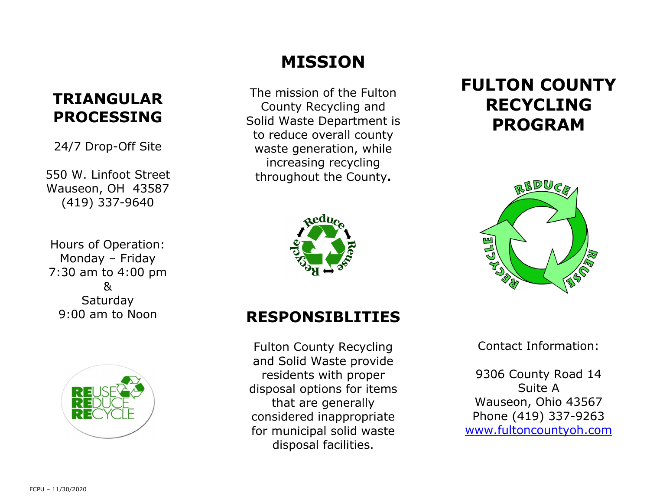### **TRIANGULAR PROCESSING**

24/7 Drop-Off Site

550 W. Linfoot Street Wauseon, OH 43587 (419) 337-9640

Hours of Operation: Monday – Friday 7:30 am to 4:00 pm & Saturday 9:00 am to Noon



# **MISSION**

The mission of the Fulton County Recycling and Solid Waste Department is to reduce overall county waste generation, while increasing recycling throughout the County**.** 



## **FULTON COUNTY RECYCLING PROGRAM**



### **RESPONSIBLITIES**

Fulton County Recycling and Solid Waste provide residents with proper disposal options for items that are generally considered inappropriate for municipal solid waste disposal facilities.

Contact Information:

9306 County Road 14 Suite A Wauseon, Ohio 43567 Phone (419) 337-9263 www.fultoncountyoh.com